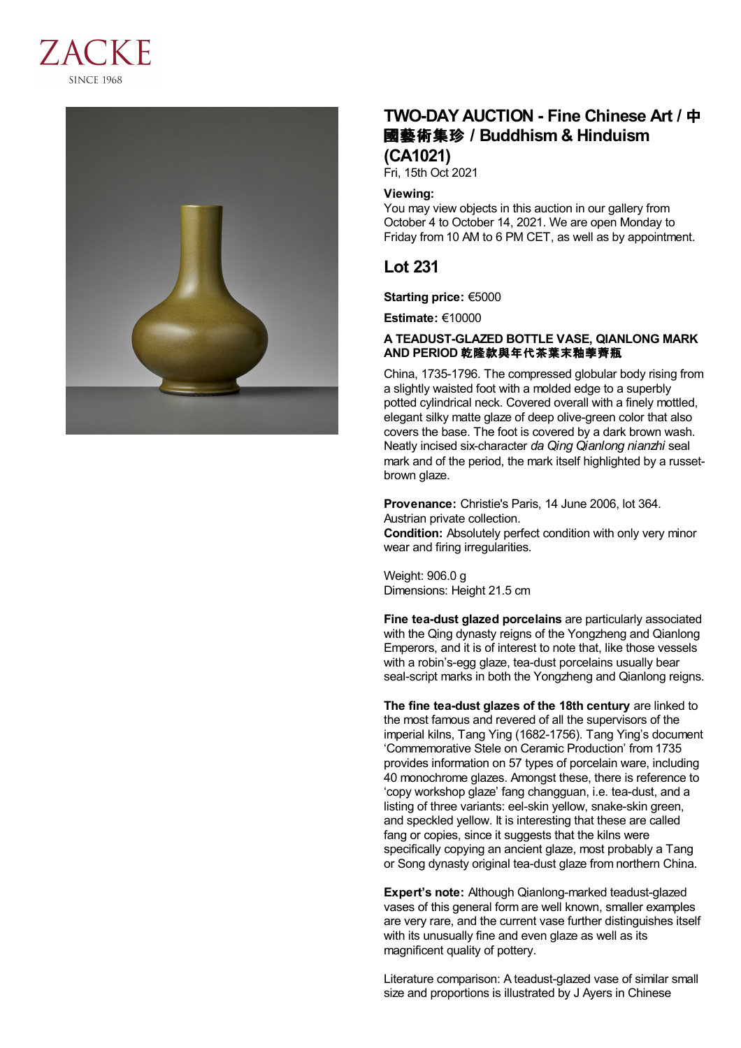



# **TWO-DAY AUCTION - Fine Chinese Art /** 中 國藝術集珍 **/Buddhism & Hinduism (CA1021)**

Fri, 15th Oct 2021

### **Viewing:**

You may view objects in this auction in our gallery from October 4 to October 14, 2021. We are open Monday to Friday from 10 AM to 6 PM CET, as well as by appointment.

## **Lot 231**

**Starting price:** €5000

**Estimate:** €10000

### **A TEADUST-GLAZED BOTTLE VASE, QIANLONG MARK AND PERIOD** 乾隆款與年代茶葉末釉荸薺瓶

China, 1735-1796. The compressed globular body rising from a slightly waisted foot with a molded edge to a superbly potted cylindrical neck. Covered overall with a finely mottled, elegant silky matte glaze of deep olive-green color that also covers the base. The foot is covered by a dark brown wash. Neatly incised six-character *da Qing Qianlong nianzhi* seal mark and of the period, the mark itself highlighted by a russetbrown glaze.

**Provenance:** Christie's Paris, 14 June 2006, lot 364. Austrian private collection.

**Condition:** Absolutely perfect condition with only very minor wear and firing irregularities.

Weight: 906.0 g Dimensions: Height 21.5 cm

**Fine tea-dust glazed porcelains** are particularly associated with the Qing dynasty reigns of the Yongzheng and Qianlong Emperors, and it is of interest to note that, like those vessels with a robin's-egg glaze, tea-dust porcelains usually bear seal-script marks in both the Yongzheng and Qianlong reigns.

**The fine tea-dust glazes of the 18th century** are linked to the most famous and revered of all the supervisors of the imperial kilns, Tang Ying (1682-1756). Tang Ying's document 'Commemorative Stele on Ceramic Production' from 1735 provides information on 57 types of porcelain ware, including 40 monochrome glazes. Amongst these, there is reference to 'copy workshop glaze' fang changguan, i.e. tea-dust, and a listing of three variants: eel-skin yellow, snake-skin green, and speckled yellow. It is interesting that these are called fang or copies, since it suggests that the kilns were specifically copying an ancient glaze, most probably a Tang or Song dynasty original tea-dust glaze from northern China.

**Expert's note:** Although Qianlong-marked teadust-glazed vases of this general form are well known, smaller examples are very rare, and the current vase further distinguishes itself with its unusually fine and even glaze as well as its magnificent quality of pottery.

Literature comparison: A teadust-glazed vase of similar small size and proportions is illustrated by J Ayers in Chinese